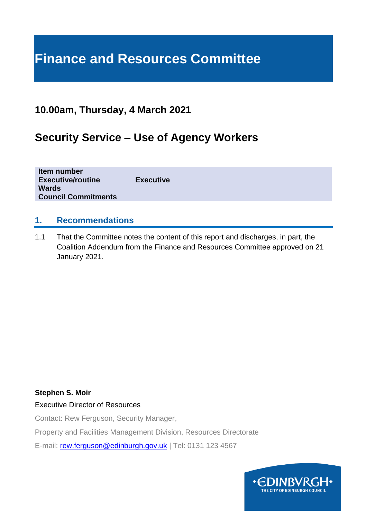# **Finance and Resources Committee**

# **10.00am, Thursday, 4 March 2021**

# **Security Service – Use of Agency Workers**

| Item number<br><b>Executive/routine</b> | <b>Executive</b> |  |  |
|-----------------------------------------|------------------|--|--|
| <b>Wards</b>                            |                  |  |  |
| <b>Council Commitments</b>              |                  |  |  |

### **1. Recommendations**

1.1 That the Committee notes the content of this report and discharges, in part, the Coalition Addendum from the Finance and Resources Committee approved on 21 January 2021.

#### **Stephen S. Moir**

#### Executive Director of Resources

Contact: Rew Ferguson, Security Manager,

Property and Facilities Management Division, Resources Directorate

E-mail: [rew.ferguson@edinburgh.gov.uk](mailto:rew.ferguson@edinburgh.gov.uk) | Tel: 0131 123 4567

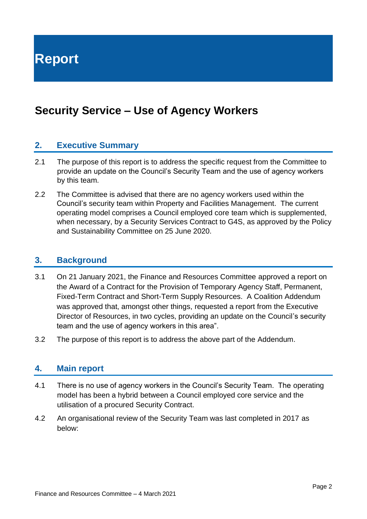**Report**

# **Security Service – Use of Agency Workers**

### **2. Executive Summary**

- 2.1 The purpose of this report is to address the specific request from the Committee to provide an update on the Council's Security Team and the use of agency workers by this team.
- 2.2 The Committee is advised that there are no agency workers used within the Council's security team within Property and Facilities Management. The current operating model comprises a Council employed core team which is supplemented, when necessary, by a Security Services Contract to G4S, as approved by the Policy and Sustainability Committee on 25 June 2020.

#### **3. Background**

- 3.1 On 21 January 2021, the Finance and Resources Committee approved a report on the Award of a Contract for the Provision of Temporary Agency Staff, Permanent, Fixed-Term Contract and Short-Term Supply Resources. A Coalition Addendum was approved that, amongst other things, requested a report from the Executive Director of Resources, in two cycles, providing an update on the Council's security team and the use of agency workers in this area".
- 3.2 The purpose of this report is to address the above part of the Addendum.

#### **4. Main report**

- 4.1 There is no use of agency workers in the Council's Security Team. The operating model has been a hybrid between a Council employed core service and the utilisation of a procured Security Contract.
- 4.2 An organisational review of the Security Team was last completed in 2017 as below: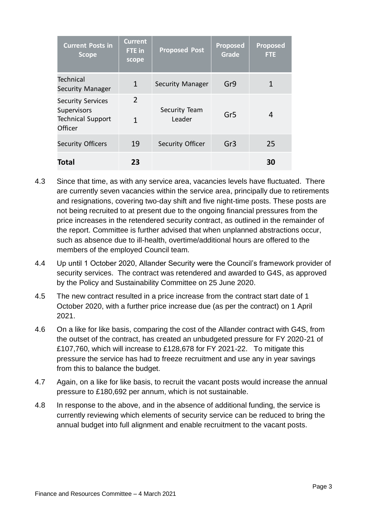| <b>Current Posts in</b><br><b>Scope</b>                                        | <b>Current</b><br>FTE in<br>scope | <b>Proposed Post</b>    | <b>Proposed</b><br>Grade | <b>Proposed</b><br><b>FTE</b> |
|--------------------------------------------------------------------------------|-----------------------------------|-------------------------|--------------------------|-------------------------------|
| <b>Technical</b><br><b>Security Manager</b>                                    | $\mathbf{1}$                      | <b>Security Manager</b> | Gr9                      |                               |
| <b>Security Services</b><br>Supervisors<br><b>Technical Support</b><br>Officer | 2<br>1                            | Security Team<br>Leader | Gr <sub>5</sub>          | 4                             |
| <b>Security Officers</b>                                                       | 19                                | <b>Security Officer</b> | Gr <sub>3</sub>          | 25                            |
| <b>Total</b>                                                                   | 23                                |                         |                          | 30                            |

- 4.3 Since that time, as with any service area, vacancies levels have fluctuated. There are currently seven vacancies within the service area, principally due to retirements and resignations, covering two-day shift and five night-time posts. These posts are not being recruited to at present due to the ongoing financial pressures from the price increases in the retendered security contract, as outlined in the remainder of the report. Committee is further advised that when unplanned abstractions occur, such as absence due to ill-health, overtime/additional hours are offered to the members of the employed Council team.
- 4.4 Up until 1 October 2020, Allander Security were the Council's framework provider of security services. The contract was retendered and awarded to G4S, as approved by the Policy and Sustainability Committee on 25 June 2020.
- 4.5 The new contract resulted in a price increase from the contract start date of 1 October 2020, with a further price increase due (as per the contract) on 1 April 2021.
- 4.6 On a like for like basis, comparing the cost of the Allander contract with G4S, from the outset of the contract, has created an unbudgeted pressure for FY 2020-21 of £107,760, which will increase to £128,678 for FY 2021-22. To mitigate this pressure the service has had to freeze recruitment and use any in year savings from this to balance the budget.
- 4.7 Again, on a like for like basis, to recruit the vacant posts would increase the annual pressure to £180,692 per annum, which is not sustainable.
- 4.8 In response to the above, and in the absence of additional funding, the service is currently reviewing which elements of security service can be reduced to bring the annual budget into full alignment and enable recruitment to the vacant posts.